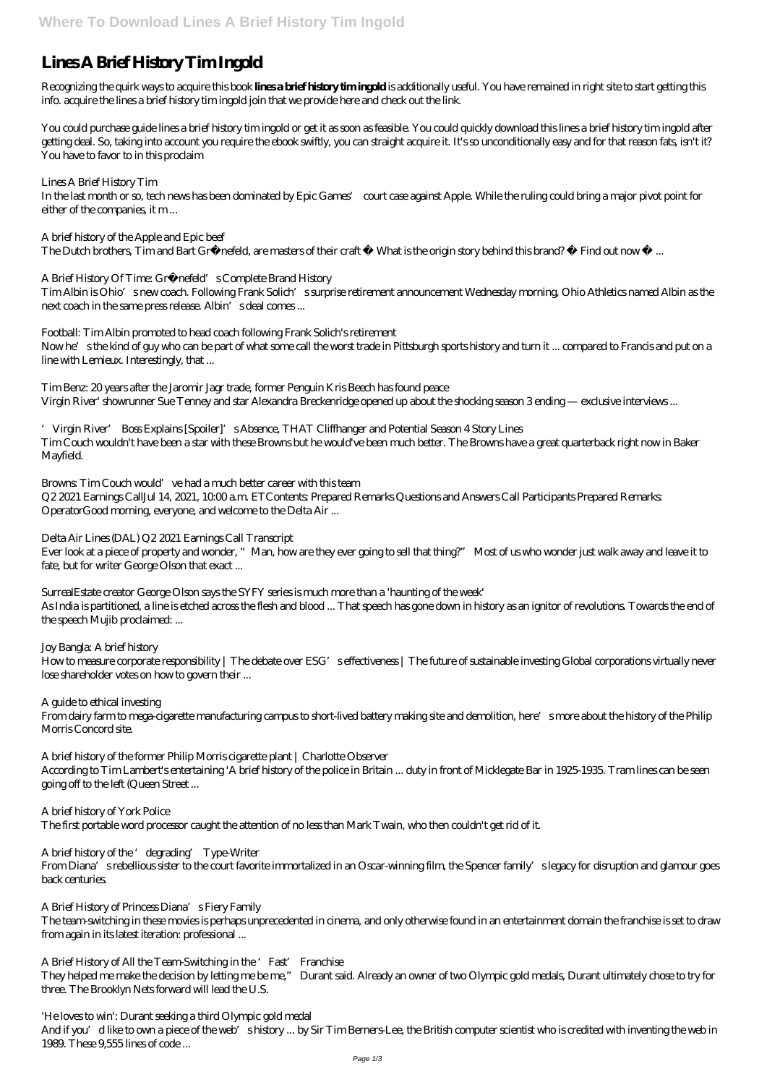## **Lines A Brief History Tim Ingold**

Recognizing the quirk ways to acquire this book **lines a brief history tim ingold** is additionally useful. You have remained in right site to start getting this info. acquire the lines a brief history tim ingold join that we provide here and check out the link.

Lines A Brief History Tim In the last month or so, tech news has been dominated by Epic Games' court case against Apple. While the ruling could bring a major pivot point for either of the companies, it m...

A brief history of the Apple and Epic beef The Dutch brothers, Tim and Bart Grönefeld, are masters of their craft What is the origin story behind this brand? Find out now ...

A Brief History Of Time: Grönefeld's Complete Brand History

You could purchase guide lines a brief history tim ingold or get it as soon as feasible. You could quickly download this lines a brief history tim ingold after getting deal. So, taking into account you require the ebook swiftly, you can straight acquire it. It's so unconditionally easy and for that reason fats, isn't it? You have to favor to in this proclaim

Tim Albin is Ohio's new coach. Following Frank Solich's surprise retirement announcement Wednesday morning, Ohio Athletics named Albin as the  $next\,coach$  in the same press release. Albin's deal comes...

Browns: Tim Couch would' ve had a much better career with this team Q2 2021 Earnings CallJul 14, 2021, 10:00 a.m. ETContents: Prepared Remarks Questions and Answers Call Participants Prepared Remarks: OperatorGood morning, everyone, and welcome to the Delta Air ...

Ever look at a piece of property and wonder, "Man, how are they ever going to sell that thing?" Most of us who wonder just walk away and leave it to fate, but for writer George Olson that exact ...

Football: Tim Albin promoted to head coach following Frank Solich's retirement Now he's the kind of guy who can be part of what some call the worst trade in Pittsburgh sports history and turn it ... compared to Francis and put on a line with Lemieux. Interestingly, that ...

How to measure corporate responsibility | The debate over ESG' seffectiveness | The future of sustainable investing Global corporations virtually never lose shareholder votes on how to govern their ...

Tim Benz: 20 years after the Jaromir Jagr trade, former Penguin Kris Beech has found peace Virgin River' showrunner Sue Tenney and star Alexandra Breckenridge opened up about the shocking season 3 ending — exclusive interviews ...

'Virgin River' Boss Explains [Spoiler]'s Absence, THAT Cliffhanger and Potential Season 4 Story Lines Tim Couch wouldn't have been a star with these Browns but he would've been much better. The Browns have a great quarterback right now in Baker Mayfield.

A brief history of the 'degrading' Type-Writer From Diana's rebellious sister to the court favorite immortalized in an Oscar-winning film, the Spencer family's legacy for disruption and glamour goes back centuries.

A Brief History of Princess Diana's Fiery Family The team-switching in these movies is perhaps unprecedented in cinema, and only otherwise found in an entertainment domain the franchise is set to draw from again in its latest iteration: professional ...

A Brief History of All the Team-Switching in the 'Fast' Franchise They helped me make the decision by letting me be me," Durant said. Already an owner of two Olympic gold medals, Durant ultimately chose to try for three. The Brooklyn Nets forward will lead the U.S.

Delta Air Lines (DAL) Q2 2021 Earnings Call Transcript

SurrealEstate creator George Olson says the SYFY series is much more than a 'haunting of the week' As India is partitioned, a line is etched across the flesh and blood ... That speech has gone down in history as an ignitor of revolutions. Towards the end of the speech Mujib proclaimed: ...

Joy Bangla: A brief history

A guide to ethical investing

From dairy farm to mega-cigarette manufacturing campus to short-lived battery making site and demolition, here's more about the history of the Philip Morris Concord site.

A brief history of the former Philip Morris cigarette plant | Charlotte Observer According to Tim Lambert's entertaining 'A brief history of the police in Britain ... duty in front of Micklegate Bar in 1925-1935. Tram lines can be seen going off to the left (Queen Street ...

A brief history of York Police

The first portable word processor caught the attention of no less than Mark Twain, who then couldn't get rid of it.

'He loves to win': Durant seeking a third Olympic gold medal And if you'd like to own a piece of the web's history ... by Sir Tim Berners-Lee, the British computer scientist who is credited with inventing the web in 1989. These 9,555 lines of code ...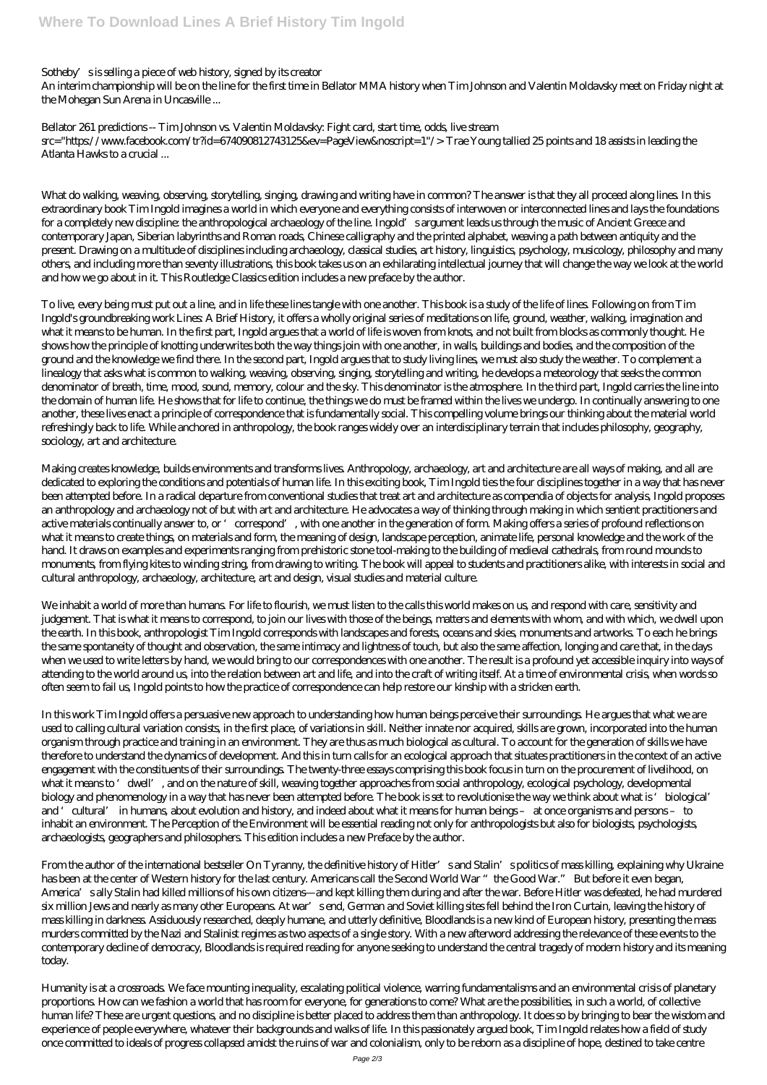Sotheby's is selling a piece of web history, signed by its creator

An interim championship will be on the line for the first time in Bellator MMA history when Tim Johnson and Valentin Moldavsky meet on Friday night at the Mohegan Sun Arena in Uncasville ...

Bellator 261 predictions -- Tim Johnson vs. Valentin Moldavsky: Fight card, start time, odds, live stream src="https://www.facebook.com/tr?id=674090812743125&ev=PageView&noscript=1"/> Trae Young tallied 25 points and 18 assists in leading the Atlanta Hawks to a crucial ...

What do walking, weaving, observing, storytelling, singing, drawing and writing have in common? The answer is that they all proceed along lines. In this extraordinary book Tim Ingold imagines a world in which everyone and everything consists of interwoven or interconnected lines and lays the foundations for a completely new discipline: the anthropological archaeology of the line. Ingold's argument leads us through the music of Ancient Greece and contemporary Japan, Siberian labyrinths and Roman roads, Chinese calligraphy and the printed alphabet, weaving a path between antiquity and the present. Drawing on a multitude of disciplines including archaeology, classical studies, art history, linguistics, psychology, musicology, philosophy and many others, and including more than seventy illustrations, this book takes us on an exhilarating intellectual journey that will change the way we look at the world and how we go about in it. This Routledge Classics edition includes a new preface by the author.

To live, every being must put out a line, and in life these lines tangle with one another. This book is a study of the life of lines. Following on from Tim Ingold's groundbreaking work Lines: A Brief History, it offers a wholly original series of meditations on life, ground, weather, walking, imagination and what it means to be human. In the first part, Ingold argues that a world of life is woven from knots, and not built from blocks as commonly thought. He shows how the principle of knotting underwrites both the way things join with one another, in walls, buildings and bodies, and the composition of the ground and the knowledge we find there. In the second part, Ingold argues that to study living lines, we must also study the weather. To complement a linealogy that asks what is common to walking, weaving, observing, singing, storytelling and writing, he develops a meteorology that seeks the common denominator of breath, time, mood, sound, memory, colour and the sky. This denominator is the atmosphere. In the third part, Ingold carries the line into the domain of human life. He shows that for life to continue, the things we do must be framed within the lives we undergo. In continually answering to one another, these lives enact a principle of correspondence that is fundamentally social. This compelling volume brings our thinking about the material world refreshingly back to life. While anchored in anthropology, the book ranges widely over an interdisciplinary terrain that includes philosophy, geography, sociology, art and architecture.

Making creates knowledge, builds environments and transforms lives. Anthropology, archaeology, art and architecture are all ways of making, and all are dedicated to exploring the conditions and potentials of human life. In this exciting book, Tim Ingold ties the four disciplines together in a way that has never been attempted before. In a radical departure from conventional studies that treat art and architecture as compendia of objects for analysis, Ingold proposes an anthropology and archaeology not of but with art and architecture. He advocates a way of thinking through making in which sentient practitioners and active materials continually answer to, or 'correspond', with one another in the generation of form. Making offers a series of profound reflections on what it means to create things, on materials and form, the meaning of design, landscape perception, animate life, personal knowledge and the work of the hand. It draws on examples and experiments ranging from prehistoric stone tool-making to the building of medieval cathedrals, from round mounds to monuments, from flying kites to winding string, from drawing to writing. The book will appeal to students and practitioners alike, with interests in social and cultural anthropology, archaeology, architecture, art and design, visual studies and material culture.

From the author of the international bestseller On Tyranny, the definitive history of Hitler's and Stalin's politics of mass killing, explaining why Ukraine has been at the center of Western history for the last century. Americans call the Second World War "the Good War." But before it even began, America's ally Stalin had killed millions of his own citizens—and kept killing them during and after the war. Before Hitler was defeated, he had murdered six million Jews and nearly as many other Europeans. At war's end, German and Soviet killing sites fell behind the Iron Curtain, leaving the history of mass killing in darkness. Assiduously researched, deeply humane, and utterly definitive, Bloodlands is a new kind of European history, presenting the mass murders committed by the Nazi and Stalinist regimes as two aspects of a single story. With a new afterword addressing the relevance of these events to the contemporary decline of democracy, Bloodlands is required reading for anyone seeking to understand the central tragedy of modern history and its meaning today.

We inhabit a world of more than humans. For life to flourish, we must listen to the calls this world makes on us, and respond with care, sensitivity and judgement. That is what it means to correspond, to join our lives with those of the beings, matters and elements with whom, and with which, we dwell upon the earth. In this book, anthropologist Tim Ingold corresponds with landscapes and forests, oceans and skies, monuments and artworks. To each he brings the same spontaneity of thought and observation, the same intimacy and lightness of touch, but also the same affection, longing and care that, in the days when we used to write letters by hand, we would bring to our correspondences with one another. The result is a profound yet accessible inquiry into ways of attending to the world around us, into the relation between art and life, and into the craft of writing itself. At a time of environmental crisis, when words so often seem to fail us, Ingold points to how the practice of correspondence can help restore our kinship with a stricken earth.

In this work Tim Ingold offers a persuasive new approach to understanding how human beings perceive their surroundings. He argues that what we are used to calling cultural variation consists, in the first place, of variations in skill. Neither innate nor acquired, skills are grown, incorporated into the human organism through practice and training in an environment. They are thus as much biological as cultural. To account for the generation of skills we have therefore to understand the dynamics of development. And this in turn calls for an ecological approach that situates practitioners in the context of an active engagement with the constituents of their surroundings. The twenty-three essays comprising this book focus in turn on the procurement of livelihood, on what it means to 'dwell', and on the nature of skill, weaving together approaches from social anthropology, ecological psychology, developmental biology and phenomenology in a way that has never been attempted before. The book is set to revolutionise the way we think about what is 'biological' and 'cultural' in humans, about evolution and history, and indeed about what it means for human beings – at once organisms and persons – to

inhabit an environment. The Perception of the Environment will be essential reading not only for anthropologists but also for biologists, psychologists, archaeologists, geographers and philosophers. This edition includes a new Preface by the author.

Humanity is at a crossroads. We face mounting inequality, escalating political violence, warring fundamentalisms and an environmental crisis of planetary proportions. How can we fashion a world that has room for everyone, for generations to come? What are the possibilities, in such a world, of collective human life? These are urgent questions, and no discipline is better placed to address them than anthropology. It does so by bringing to bear the wisdom and experience of people everywhere, whatever their backgrounds and walks of life. In this passionately argued book, Tim Ingold relates how a field of study once committed to ideals of progress collapsed amidst the ruins of war and colonialism, only to be reborn as a discipline of hope, destined to take centre